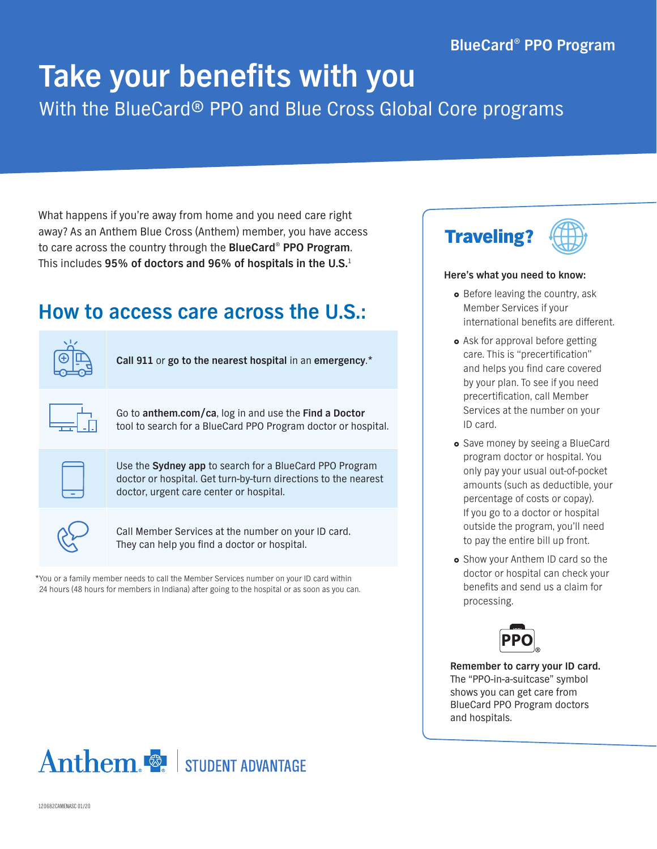## **BlueCard® PPO Program**

# **Take your benefits with you** With the BlueCard® PPO and Blue Cross Global Core programs

What happens if you're away from home and you need care right away? As an Anthem Blue Cross (Anthem) member, you have access to care across the country through the **BlueCard**® **PPO Program**. This includes **95% of doctors and 96% of hospitals in the U.S.**<sup>1</sup>

# **How to access care across the U.S.:**

| Call 911 or go to the nearest hospital in an emergency.*                                                                                                                    |
|-----------------------------------------------------------------------------------------------------------------------------------------------------------------------------|
| Go to anthem.com/ca, log in and use the Find a Doctor<br>tool to search for a BlueCard PPO Program doctor or hospital.                                                      |
| Use the <b>Sydney app</b> to search for a BlueCard PPO Program<br>doctor or hospital. Get turn-by-turn directions to the nearest<br>doctor, urgent care center or hospital. |
| Call Member Services at the number on your ID card.<br>They can help you find a doctor or hospital.                                                                         |

\*You or a family member needs to call the Member Services number on your ID card within 24 hours (48 hours for members in Indiana) after going to the hospital or as soon as you can.



#### **Here's what you need to know:**

- Before leaving the country, ask Member Services if your international benefits are different.
- Ask for approval before getting care. This is "precertification" and helps you find care covered by your plan. To see if you need precertification, call Member Services at the number on your ID card.
- Save money by seeing a BlueCard program doctor or hospital. You only pay your usual out-of-pocket amounts (such as deductible, your percentage of costs or copay). If you go to a doctor or hospital outside the program, you'll need to pay the entire bill up front.
- **•** Show your Anthem ID card so the doctor or hospital can check your benefits and send us a claim for processing.



**Remember to carry your ID card.** The "PPO-in-a-suitcase" symbol shows you can get care from BlueCard PPO Program doctors and hospitals.



120682CAMENASC 01/20